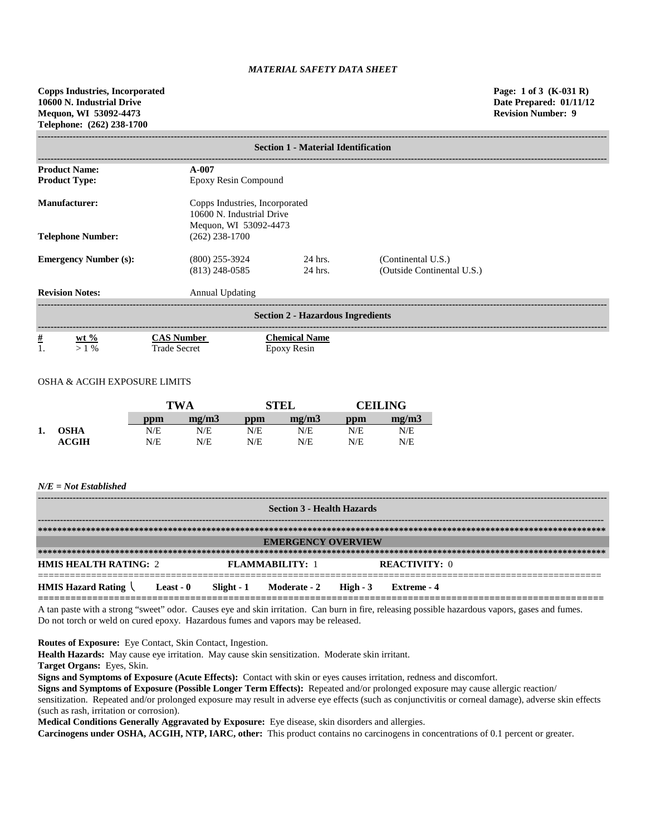**Copps Industries, Incorporated Page: 1 of 3 (K-031 R) 10600 N. Industrial Drive Date Prepared: 01/11/12 Mequon, WI 53092-4473 Revision Number: 9 Telephone: (262) 238-1700**

|                                          |                                                                                      | <b>Section 1 - Material Identification</b> |                                                  |  |  |
|------------------------------------------|--------------------------------------------------------------------------------------|--------------------------------------------|--------------------------------------------------|--|--|
| <b>Product Name:</b>                     | $A-007$                                                                              |                                            |                                                  |  |  |
| <b>Product Type:</b>                     | Epoxy Resin Compound                                                                 |                                            |                                                  |  |  |
| Manufacturer:                            | Copps Industries, Incorporated<br>10600 N. Industrial Drive<br>Mequon, WI 53092-4473 |                                            |                                                  |  |  |
| <b>Telephone Number:</b>                 | $(262)$ 238-1700                                                                     |                                            |                                                  |  |  |
| <b>Emergency Number (s):</b>             | $(800)$ 255-3924<br>$(813)$ 248-0585                                                 | 24 hrs.<br>24 hrs.                         | (Continental U.S.)<br>(Outside Continental U.S.) |  |  |
| <b>Revision Notes:</b>                   | <b>Annual Updating</b>                                                               |                                            |                                                  |  |  |
| <b>Section 2 - Hazardous Ingredients</b> |                                                                                      |                                            |                                                  |  |  |

# $\frac{\text{#}}{\text{1}}$  **wt %**<br> $>1\%$  **CAS Number Chemical Name Chemical Name Chemical Name Chemical Name**  $> 1$  % Trade Secret Epoxy Resin

# OSHA & ACGIH EXPOSURE LIMITS

|    |                  | <b>TWA</b> |       | STEL |       | <b>CEILING</b> |       |
|----|------------------|------------|-------|------|-------|----------------|-------|
|    |                  | ppm        | me/m3 | ppm  | mg/m3 | ppm            | mg/m3 |
| 1. | OSHA             | N/E        | N/E   | N/E  | N/E   | N/E            | N/E   |
|    | $\mathbf{ACGIH}$ | N/E        | N/E   | N/E  | N/E   | N/E            | N/E   |

### *N/E = Not Established*

| <b>Section 3 - Health Hazards</b> |           |  |                                  |  |                      |  |
|-----------------------------------|-----------|--|----------------------------------|--|----------------------|--|
|                                   |           |  |                                  |  |                      |  |
|                                   |           |  | <b>EMERGENCY OVERVIEW</b>        |  |                      |  |
|                                   |           |  |                                  |  |                      |  |
| <b>HMIS HEALTH RATING: 2</b>      |           |  | <b>FLAMMARILITY: 1</b>           |  | <b>REACTIVITY: 0</b> |  |
| <b>HMIS Hazard Rating</b>         | Least - 0 |  | Slight - 1 Moderate - 2 High - 3 |  | Extreme - 4          |  |

A tan paste with a strong "sweet" odor. Causes eye and skin irritation. Can burn in fire, releasing possible hazardous vapors, gases and fumes. Do not torch or weld on cured epoxy. Hazardous fumes and vapors may be released.

**Routes of Exposure:** Eye Contact, Skin Contact, Ingestion.

**Health Hazards:** May cause eye irritation. May cause skin sensitization. Moderate skin irritant.

**Target Organs:** Eyes, Skin.

**Signs and Symptoms of Exposure (Acute Effects):** Contact with skin or eyes causes irritation, redness and discomfort.

**Signs and Symptoms of Exposure (Possible Longer Term Effects):** Repeated and/or prolonged exposure may cause allergic reaction/

sensitization. Repeated and/or prolonged exposure may result in adverse eye effects (such as conjunctivitis or corneal damage), adverse skin effects (such as rash, irritation or corrosion).

**Medical Conditions Generally Aggravated by Exposure:** Eye disease, skin disorders and allergies.

**Carcinogens under OSHA, ACGIH, NTP, IARC, other:** This product contains no carcinogens in concentrations of 0.1 percent or greater.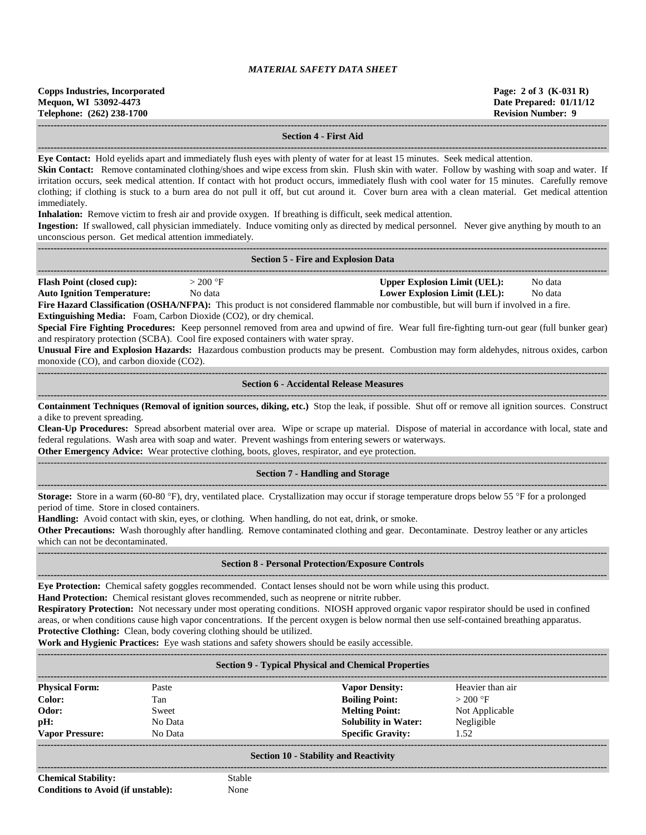| Copps Industries, Incorporated<br>Mequon, WI 53092-4473 | Page: 2 of 3 $(K-031 R)$<br>Date Prepared: 01/11/12 |
|---------------------------------------------------------|-----------------------------------------------------|
| Telephone: (262) 238-1700                               | <b>Revision Number: 9</b>                           |
|                                                         |                                                     |

#### **Section 4 - First Aid**

**------------------------------------------------------------------------------------------------------------------------------------------------------------------------------------ Eye Contact:** Hold eyelids apart and immediately flush eyes with plenty of water for at least 15 minutes. Seek medical attention.

**Skin Contact:** Remove contaminated clothing/shoes and wipe excess from skin. Flush skin with water. Follow by washing with soap and water. If irritation occurs, seek medical attention. If contact with hot product occurs, immediately flush with cool water for 15 minutes. Carefully remove clothing; if clothing is stuck to a burn area do not pull it off, but cut around it. Cover burn area with a clean material. Get medical attention immediately.

**Inhalation:** Remove victim to fresh air and provide oxygen. If breathing is difficult, seek medical attention.

**Ingestion:** If swallowed, call physician immediately. Induce vomiting only as directed by medical personnel. Never give anything by mouth to an unconscious person. Get medical attention immediately.

| <b>Section 5 - Fire and Explosion Data</b> |            |                                     |         |  |  |  |
|--------------------------------------------|------------|-------------------------------------|---------|--|--|--|
| <b>Flash Point (closed cup):</b>           | $>$ 200 °F | <b>Upper Explosion Limit (UEL):</b> | No data |  |  |  |
| <b>Auto Ignition Temperature:</b>          | No data    | <b>Lower Explosion Limit (LEL):</b> | No data |  |  |  |

**Fire Hazard Classification (OSHA/NFPA):** This product is not considered flammable nor combustible, but will burn if involved in a fire. **Extinguishing Media:** Foam, Carbon Dioxide (CO2), or dry chemical.

**Special Fire Fighting Procedures:** Keep personnel removed from area and upwind of fire. Wear full fire-fighting turn-out gear (full bunker gear) and respiratory protection (SCBA). Cool fire exposed containers with water spray.

**Unusual Fire and Explosion Hazards:** Hazardous combustion products may be present. Combustion may form aldehydes, nitrous oxides, carbon monoxide (CO), and carbon dioxide (CO2).

# **------------------------------------------------------------------------------------------------------------------------------------------------------------------------------------ Section 6 - Accidental Release Measures**

**------------------------------------------------------------------------------------------------------------------------------------------------------------------------------------ Containment Techniques (Removal of ignition sources, diking, etc.)** Stop the leak, if possible. Shut off or remove all ignition sources. Construct a dike to prevent spreading.

**Clean-Up Procedures:** Spread absorbent material over area. Wipe or scrape up material. Dispose of material in accordance with local, state and federal regulations. Wash area with soap and water. Prevent washings from entering sewers or waterways.

**Other Emergency Advice:** Wear protective clothing, boots, gloves, respirator, and eye protection.

### ------------------------------------------------------------------------------------------------------------------------------------------------------------------------------------ **Section 7 - Handling and Storage**

**------------------------------------------------------------------------------------------------------------------------------------------------------------------------------------ Storage:** Store in a warm (60-80 °F), dry, ventilated place. Crystallization may occur if storage temperature drops below 55 °F for a prolonged period of time. Store in closed containers.

**Handling:** Avoid contact with skin, eyes, or clothing. When handling, do not eat, drink, or smoke.

**Other Precautions:** Wash thoroughly after handling. Remove contaminated clothing and gear. Decontaminate. Destroy leather or any articles which can not be decontaminated.

### **------------------------------------------------------------------------------------------------------------------------------------------------------------------------------------ Section 8 - Personal Protection/Exposure Controls**

**------------------------------------------------------------------------------------------------------------------------------------------------------------------------------------**

**Eye Protection:** Chemical safety goggles recommended. Contact lenses should not be worn while using this product.

**Hand Protection:** Chemical resistant gloves recommended, such as neoprene or nitrite rubber.

**Respiratory Protection:** Not necessary under most operating conditions. NIOSH approved organic vapor respirator should be used in confined areas, or when conditions cause high vapor concentrations. If the percent oxygen is below normal then use self-contained breathing apparatus. **Protective Clothing:** Clean, body covering clothing should be utilized.

**Work and Hygienic Practices:** Eye wash stations and safety showers should be easily accessible.

| <b>Section 9 - Typical Physical and Chemical Properties</b> |                                     |                             |                  |  |  |  |
|-------------------------------------------------------------|-------------------------------------|-----------------------------|------------------|--|--|--|
| <b>Physical Form:</b>                                       | Paste                               | <b>Vapor Density:</b>       | Heavier than air |  |  |  |
| Color:                                                      | Tan                                 | <b>Boiling Point:</b>       | $>200$ °F        |  |  |  |
| Odor:                                                       | Sweet                               | <b>Melting Point:</b>       | Not Applicable   |  |  |  |
| pH:                                                         | No Data                             | <b>Solubility in Water:</b> | Negligible       |  |  |  |
| <b>Vapor Pressure:</b>                                      | No Data                             | <b>Specific Gravity:</b>    | 1.52             |  |  |  |
|                                                             | Soction 10 Stobility and Departmity |                             |                  |  |  |  |

#### **Section 10 - Stability and Reactivity ------------------------------------------------------------------------------------------------------------------------------------------------------------------------------------**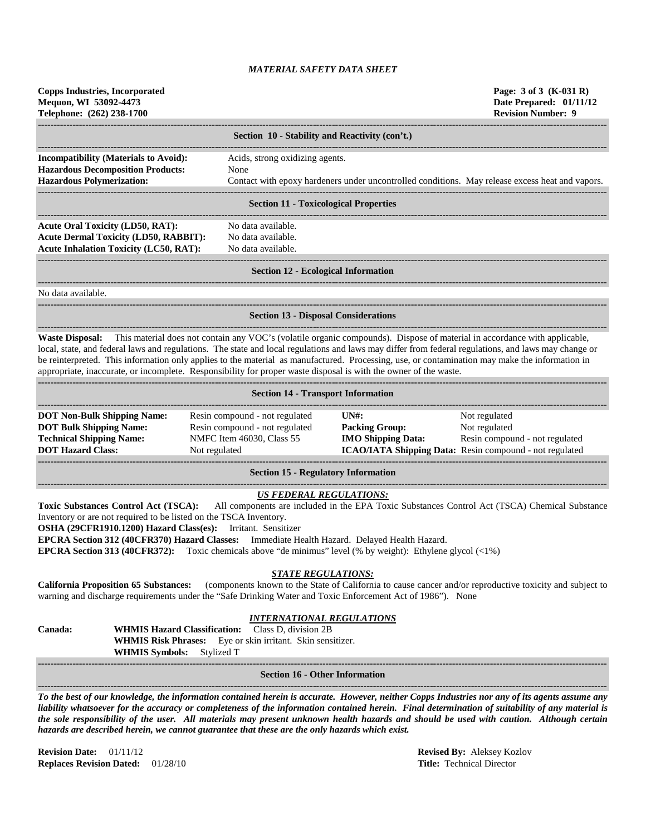| <b>Copps Industries, Incorporated</b><br>Mequon, WI 53092-4473                                                                                                                                                                                                                                                                                                                                                                                       |                                                                                                                           | Page: 3 of 3 (K-031 R)<br>Date Prepared: 01/11/12 |                                                                                                 |  |  |
|------------------------------------------------------------------------------------------------------------------------------------------------------------------------------------------------------------------------------------------------------------------------------------------------------------------------------------------------------------------------------------------------------------------------------------------------------|---------------------------------------------------------------------------------------------------------------------------|---------------------------------------------------|-------------------------------------------------------------------------------------------------|--|--|
| <b>Revision Number: 9</b><br>Telephone: (262) 238-1700                                                                                                                                                                                                                                                                                                                                                                                               |                                                                                                                           |                                                   |                                                                                                 |  |  |
|                                                                                                                                                                                                                                                                                                                                                                                                                                                      | Section 10 - Stability and Reactivity (con't.)                                                                            |                                                   |                                                                                                 |  |  |
| <b>Incompatibility (Materials to Avoid):</b>                                                                                                                                                                                                                                                                                                                                                                                                         | Acids, strong oxidizing agents.                                                                                           |                                                   |                                                                                                 |  |  |
| <b>Hazardous Decomposition Products:</b>                                                                                                                                                                                                                                                                                                                                                                                                             | None                                                                                                                      |                                                   |                                                                                                 |  |  |
| <b>Hazardous Polymerization:</b>                                                                                                                                                                                                                                                                                                                                                                                                                     |                                                                                                                           |                                                   | Contact with epoxy hardeners under uncontrolled conditions. May release excess heat and vapors. |  |  |
|                                                                                                                                                                                                                                                                                                                                                                                                                                                      | <b>Section 11 - Toxicological Properties</b>                                                                              |                                                   |                                                                                                 |  |  |
| <b>Acute Oral Toxicity (LD50, RAT):</b>                                                                                                                                                                                                                                                                                                                                                                                                              | No data available.                                                                                                        |                                                   |                                                                                                 |  |  |
| <b>Acute Dermal Toxicity (LD50, RABBIT):</b>                                                                                                                                                                                                                                                                                                                                                                                                         | No data available.                                                                                                        |                                                   |                                                                                                 |  |  |
| <b>Acute Inhalation Toxicity (LC50, RAT):</b>                                                                                                                                                                                                                                                                                                                                                                                                        | No data available.                                                                                                        |                                                   |                                                                                                 |  |  |
|                                                                                                                                                                                                                                                                                                                                                                                                                                                      | <b>Section 12 - Ecological Information</b>                                                                                |                                                   |                                                                                                 |  |  |
| No data available.                                                                                                                                                                                                                                                                                                                                                                                                                                   |                                                                                                                           |                                                   |                                                                                                 |  |  |
|                                                                                                                                                                                                                                                                                                                                                                                                                                                      | <b>Section 13 - Disposal Considerations</b>                                                                               |                                                   |                                                                                                 |  |  |
| <b>Waste Disposal:</b><br>local, state, and federal laws and regulations. The state and local regulations and laws may differ from federal regulations, and laws may change or<br>be reinterpreted. This information only applies to the material as manufactured. Processing, use, or contamination may make the information in<br>appropriate, inaccurate, or incomplete. Responsibility for proper waste disposal is with the owner of the waste. | This material does not contain any VOC's (volatile organic compounds). Dispose of material in accordance with applicable, |                                                   |                                                                                                 |  |  |
|                                                                                                                                                                                                                                                                                                                                                                                                                                                      | <b>Section 14 - Transport Information</b>                                                                                 |                                                   |                                                                                                 |  |  |
| <b>DOT Non-Bulk Shipping Name:</b>                                                                                                                                                                                                                                                                                                                                                                                                                   | Resin compound - not regulated                                                                                            | $UN#$ :                                           | Not regulated                                                                                   |  |  |
| <b>DOT Bulk Shipping Name:</b>                                                                                                                                                                                                                                                                                                                                                                                                                       | Resin compound - not regulated                                                                                            | <b>Packing Group:</b>                             | Not regulated                                                                                   |  |  |
| <b>Technical Shipping Name:</b>                                                                                                                                                                                                                                                                                                                                                                                                                      | NMFC Item 46030, Class 55                                                                                                 | <b>IMO Shipping Data:</b>                         | Resin compound - not regulated                                                                  |  |  |
| <b>DOT Hazard Class:</b>                                                                                                                                                                                                                                                                                                                                                                                                                             | Not regulated                                                                                                             |                                                   | ICAO/IATA Shipping Data: Resin compound - not regulated                                         |  |  |
|                                                                                                                                                                                                                                                                                                                                                                                                                                                      | <b>Section 15 - Regulatory Information</b>                                                                                |                                                   |                                                                                                 |  |  |

### *US FEDERAL REGULATIONS:*

**Toxic Substances Control Act (TSCA):** All components are included in the EPA Toxic Substances Control Act (TSCA) Chemical Substance Inventory or are not required to be listed on the TSCA Inventory.

**OSHA (29CFR1910.1200) Hazard Class(es):** Irritant. Sensitizer

**EPCRA Section 312 (40CFR370) Hazard Classes:** Immediate Health Hazard. Delayed Health Hazard.

**EPCRA Section 313 (40CFR372):** Toxic chemicals above "de minimus" level (% by weight): Ethylene glycol (<1%)

# *STATE REGULATIONS:*

**California Proposition 65 Substances:** (components known to the State of California to cause cancer and/or reproductive toxicity and subject to warning and discharge requirements under the "Safe Drinking Water and Toxic Enforcement Act of 1986"). None

### *INTERNATIONAL REGULATIONS*

| Canada: | <b>WHMIS Hazard Classification:</b> Class D. division 2B          |
|---------|-------------------------------------------------------------------|
|         | <b>WHMIS Risk Phrases:</b> Eye or skin irritant. Skin sensitizer. |
|         | <b>WHMIS Symbols:</b> Stylized T                                  |
|         |                                                                   |
|         |                                                                   |

**Section 16 - Other Information**

**------------------------------------------------------------------------------------------------------------------------------------------------------------------------------------** *To the best of our knowledge, the information contained herein is accurate. However, neither Copps Industries nor any of its agents assume any liability whatsoever for the accuracy or completeness of the information contained herein. Final determination of suitability of any material is the sole responsibility of the user. All materials may present unknown health hazards and should be used with caution. Although certain hazards are described herein, we cannot guarantee that these are the only hazards which exist.*

**Revision Date:** 01/11/12 **Revised By:** Aleksey Kozlov **Replaces Revision Dated:** 01/28/10 **Title:** Technical Director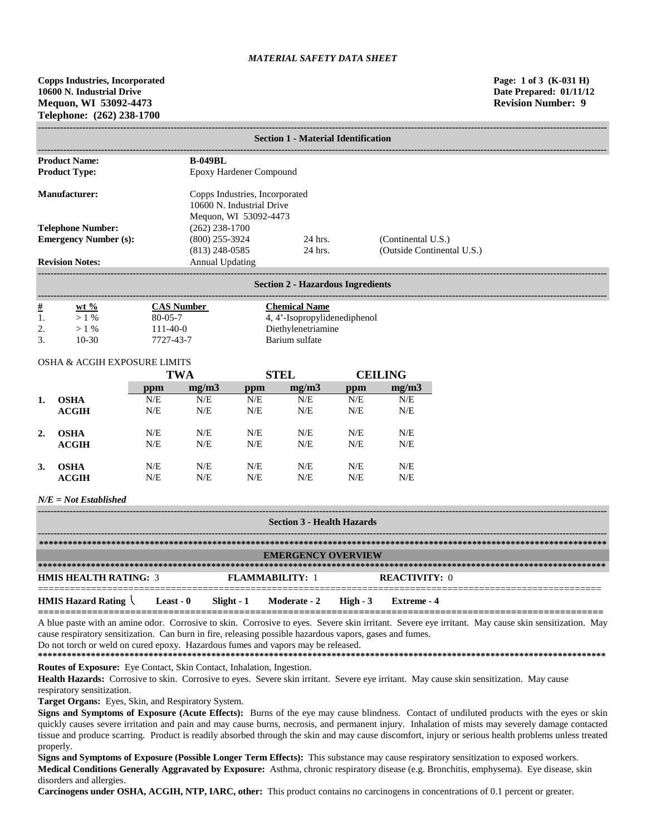**Copps Industries, Incorporated Page: 1 of 3 (K-031 H) 10600 N. Industrial Drive Date Prepared: 01/11/12 Mequon, WI 53092-4473 Revision Number: 9 Telephone: (262) 238-1700**

**------------------------------------------------------------------------------------------------------------------------------------------------------------------------------------**

|                | <b>Section 1 - Material Identification</b>     |                         |                                            |                                                                                      |                                          |            |                            |  |  |  |
|----------------|------------------------------------------------|-------------------------|--------------------------------------------|--------------------------------------------------------------------------------------|------------------------------------------|------------|----------------------------|--|--|--|
|                | <b>Product Name:</b><br><b>Product Type:</b>   |                         | <b>B-049BL</b>                             | Epoxy Hardener Compound                                                              |                                          |            |                            |  |  |  |
|                | <b>Manufacturer:</b>                           |                         |                                            | Copps Industries, Incorporated<br>10600 N. Industrial Drive<br>Mequon, WI 53092-4473 |                                          |            |                            |  |  |  |
|                | <b>Telephone Number:</b>                       |                         | $(262)$ 238-1700                           |                                                                                      |                                          |            |                            |  |  |  |
|                | <b>Emergency Number (s):</b>                   |                         | $(800)$ 255-3924                           |                                                                                      | 24 hrs.                                  |            | (Continental U.S.)         |  |  |  |
|                | <b>Revision Notes:</b>                         |                         | $(813)$ 248-0585<br><b>Annual Updating</b> |                                                                                      | 24 hrs.                                  |            | (Outside Continental U.S.) |  |  |  |
|                |                                                |                         |                                            |                                                                                      |                                          |            |                            |  |  |  |
|                |                                                |                         |                                            |                                                                                      | <b>Section 2 - Hazardous Ingredients</b> |            |                            |  |  |  |
| $\frac{\#}{4}$ | $wt %$                                         |                         | <b>CAS Number</b>                          |                                                                                      | <b>Chemical Name</b>                     |            |                            |  |  |  |
| 1.             | >1%                                            | $80 - 05 - 7$           |                                            |                                                                                      | 4, 4'-Isopropylidenediphenol             |            |                            |  |  |  |
| 2.<br>3.       | $>1\%$<br>$10-30$                              | $111-40-0$<br>7727-43-7 |                                            |                                                                                      | Diethylenetriamine<br>Barium sulfate     |            |                            |  |  |  |
|                |                                                |                         |                                            |                                                                                      |                                          |            |                            |  |  |  |
|                | OSHA & ACGIH EXPOSURE LIMITS                   |                         |                                            |                                                                                      |                                          |            |                            |  |  |  |
|                |                                                |                         | <b>TWA</b>                                 |                                                                                      | <b>STEL</b>                              |            | <b>CEILING</b>             |  |  |  |
|                |                                                | ppm                     | mg/m3                                      | ppm                                                                                  | mg/m3                                    | ppm        | mg/m3                      |  |  |  |
| 1.             | <b>OSHA</b>                                    | N/E                     | N/E                                        | N/E                                                                                  | N/E                                      | N/E        | N/E                        |  |  |  |
|                | <b>ACGIH</b>                                   | N/E                     | N/E                                        | N/E                                                                                  | N/E                                      | N/E        | N/E                        |  |  |  |
| 2.             | <b>OSHA</b>                                    | N/E                     | N/E                                        | N/E                                                                                  | N/E                                      | N/E        | N/E                        |  |  |  |
|                | ACGIH                                          | N/E                     | N/E                                        | N/E                                                                                  | N/E                                      | N/E        | N/E                        |  |  |  |
|                |                                                |                         |                                            |                                                                                      |                                          |            |                            |  |  |  |
| 3.             | <b>OSHA</b><br><b>ACGIH</b>                    | N/E<br>N/E              | N/E<br>N/E                                 | N/E<br>N/E                                                                           | N/E<br>N/E                               | N/E<br>N/E | N/E<br>N/E                 |  |  |  |
|                |                                                |                         |                                            |                                                                                      |                                          |            |                            |  |  |  |
|                | $N/E = Not$ Established                        |                         |                                            |                                                                                      |                                          |            |                            |  |  |  |
|                |                                                |                         |                                            |                                                                                      | <b>Section 3 - Health Hazards</b>        |            |                            |  |  |  |
|                |                                                |                         |                                            |                                                                                      |                                          |            |                            |  |  |  |
|                |                                                |                         |                                            |                                                                                      | <b>EMERGENCY OVERVIEW</b>                |            |                            |  |  |  |
|                | <b>HMIS HEALTH RATING: 3</b>                   |                         |                                            | <b>FLAMMABILITY: 1</b>                                                               |                                          |            | <b>REACTIVITY: 0</b>       |  |  |  |
|                | <b>HMIS Hazard Rating <math>\langle</math></b> | Least - $0$             |                                            | Slight - 1                                                                           | Moderate - 2                             | $High - 3$ | <b>Extreme</b> - 4         |  |  |  |
|                |                                                |                         |                                            |                                                                                      |                                          |            |                            |  |  |  |

A blue paste with an amine odor. Corrosive to skin. Corrosive to eyes. Severe skin irritant. Severe eye irritant. May cause skin sensitization. May cause respiratory sensitization. Can burn in fire, releasing possible hazardous vapors, gases and fumes.

Do not torch or weld on cured epoxy. Hazardous fumes and vapors may be released.

**\*\*\*\*\*\*\*\*\*\*\*\*\*\*\*\*\*\*\*\*\*\*\*\*\*\*\*\*\*\*\*\*\*\*\*\*\*\*\*\*\*\*\*\*\*\*\*\*\*\*\*\*\*\*\*\*\*\*\*\*\*\*\*\*\*\*\*\*\*\*\*\*\*\*\*\*\*\*\*\*\*\*\*\*\*\*\*\*\*\*\*\*\*\*\*\*\*\*\*\*\*\*\*\*\*\*\*\*\*\*\*\*\*\*\*\*\*\* Routes of Exposure:** Eye Contact, Skin Contact, Inhalation, Ingestion.

Health Hazards: Corrosive to skin. Corrosive to eyes. Severe skin irritant. Severe eye irritant. May cause skin sensitization. May cause respiratory sensitization.

**Target Organs:** Eyes, Skin, and Respiratory System.

**Signs and Symptoms of Exposure (Acute Effects):** Burns of the eye may cause blindness. Contact of undiluted products with the eyes or skin quickly causes severe irritation and pain and may cause burns, necrosis, and permanent injury. Inhalation of mists may severely damage contacted tissue and produce scarring. Product is readily absorbed through the skin and may cause discomfort, injury or serious health problems unless treated properly.

**Signs and Symptoms of Exposure (Possible Longer Term Effects):** This substance may cause respiratory sensitization to exposed workers. **Medical Conditions Generally Aggravated by Exposure:** Asthma, chronic respiratory disease (e.g. Bronchitis, emphysema). Eye disease, skin disorders and allergies.

**Carcinogens under OSHA, ACGIH, NTP, IARC, other:** This product contains no carcinogens in concentrations of 0.1 percent or greater.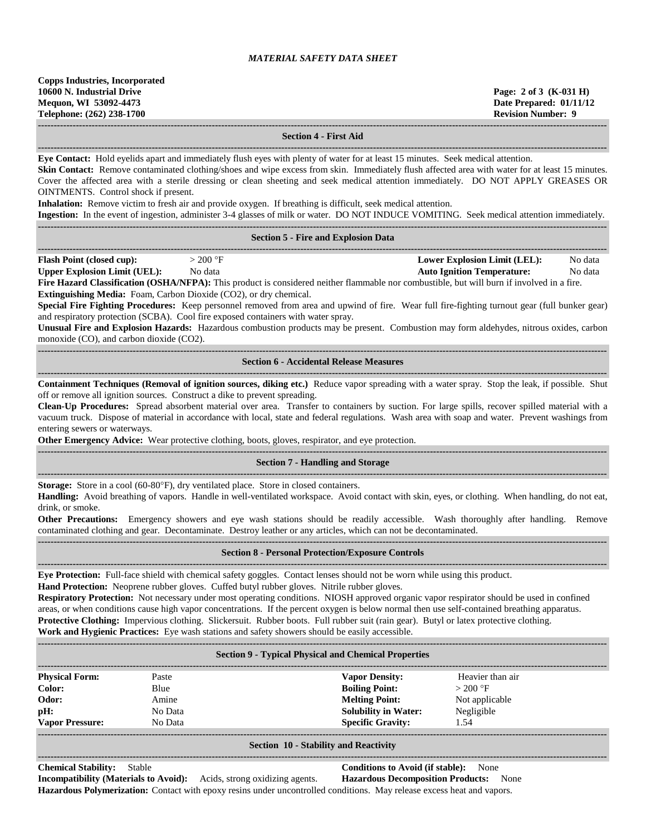| <b>Copps Industries, Incorporated</b> |
|---------------------------------------|
| 10600 N. Industrial Drive             |
| Mequon, WI 53092-4473                 |
| Telephone: (262) 238-1700             |
|                                       |

**10600 N. Industrial Drive Page: 2 of 3 (K-031 H) Date Prepared: 01/11/12 Revision Number: 9** 

**------------------------------------------------------------------------------------------------------------------------------------------------------------------------------------**

### **Section 4 - First Aid**

**------------------------------------------------------------------------------------------------------------------------------------------------------------------------------------ Eye Contact:** Hold eyelids apart and immediately flush eyes with plenty of water for at least 15 minutes. Seek medical attention.

**Skin Contact:** Remove contaminated clothing/shoes and wipe excess from skin. Immediately flush affected area with water for at least 15 minutes. Cover the affected area with a sterile dressing or clean sheeting and seek medical attention immediately. DO NOT APPLY GREASES OR OINTMENTS. Control shock if present.

**Inhalation:** Remove victim to fresh air and provide oxygen. If breathing is difficult, seek medical attention.

**Ingestion:** In the event of ingestion, administer 3-4 glasses of milk or water. DO NOT INDUCE VOMITING. Seek medical attention immediately.

|                                                                          |                                     | <b>Ingestion:</b> In the event of ingestion, administer 3-4 glasses of milk or water. DO NOT INDUCE VOMITING. Seek medical attention immediately. |  |                                     |         |  |  |
|--------------------------------------------------------------------------|-------------------------------------|---------------------------------------------------------------------------------------------------------------------------------------------------|--|-------------------------------------|---------|--|--|
|                                                                          |                                     |                                                                                                                                                   |  |                                     |         |  |  |
| <b>Section 5 - Fire and Explosion Data</b>                               |                                     |                                                                                                                                                   |  |                                     |         |  |  |
|                                                                          |                                     |                                                                                                                                                   |  |                                     |         |  |  |
| <b>Flash Point (closed cup):</b>                                         |                                     | $>200$ °F                                                                                                                                         |  | <b>Lower Explosion Limit (LEL):</b> | No data |  |  |
|                                                                          | <b>Upper Explosion Limit (UEL):</b> | No data                                                                                                                                           |  | <b>Auto Ignition Temperature:</b>   | No data |  |  |
|                                                                          |                                     | Fire Hazard Classification (OSHA/NFPA): This product is considered neither flammable nor combustible, but will burn if involved in a fire.        |  |                                     |         |  |  |
| <b>Extinguishing Media:</b> Foam, Carbon Dioxide (CO2), or dry chemical. |                                     |                                                                                                                                                   |  |                                     |         |  |  |
|                                                                          |                                     | Special Fire Fighting Procedures: Keep personnel removed from area and upwind of fire. Wear full fire-fighting turnout gear (full bunker gear)    |  |                                     |         |  |  |
|                                                                          |                                     | and respiratory protection (SCBA). Cool fire exposed containers with water spray.                                                                 |  |                                     |         |  |  |

**Unusual Fire and Explosion Hazards:** Hazardous combustion products may be present. Combustion may form aldehydes, nitrous oxides, carbon monoxide (CO), and carbon dioxide (CO2).

### **------------------------------------------------------------------------------------------------------------------------------------------------------------------------------------ Section 6 - Accidental Release Measures**

**------------------------------------------------------------------------------------------------------------------------------------------------------------------------------------ Containment Techniques (Removal of ignition sources, diking etc.)** Reduce vapor spreading with a water spray. Stop the leak, if possible. Shut off or remove all ignition sources. Construct a dike to prevent spreading.

**Clean-Up Procedures:** Spread absorbent material over area. Transfer to containers by suction. For large spills, recover spilled material with a vacuum truck. Dispose of material in accordance with local, state and federal regulations. Wash area with soap and water. Prevent washings from entering sewers or waterways.

**Other Emergency Advice:** Wear protective clothing, boots, gloves, respirator, and eye protection. **------------------------------------------------------------------------------------------------------------------------------------------------------------------------------------**

### **Section 7 - Handling and Storage**

**------------------------------------------------------------------------------------------------------------------------------------------------------------------------------------ Storage:** Store in a cool (60-80°F), dry ventilated place. Store in closed containers.

**Handling:** Avoid breathing of vapors. Handle in well-ventilated workspace. Avoid contact with skin, eyes, or clothing. When handling, do not eat, drink, or smoke.

**Other Precautions:** Emergency showers and eye wash stations should be readily accessible. Wash thoroughly after handling. Remove contaminated clothing and gear. Decontaminate. Destroy leather or any articles, which can not be decontaminated.

### **Section 8 - Personal Protection/Exposure Controls**

**------------------------------------------------------------------------------------------------------------------------------------------------------------------------------------ Eye Protection:** Full-face shield with chemical safety goggles. Contact lenses should not be worn while using this product.

**------------------------------------------------------------------------------------------------------------------------------------------------------------------------------------**

**Hand Protection:** Neoprene rubber gloves. Cuffed butyl rubber gloves. Nitrile rubber gloves. **Respiratory Protection:** Not necessary under most operating conditions. NIOSH approved organic vapor respirator should be used in confined areas, or when conditions cause high vapor concentrations. If the percent oxygen is below normal then use self-contained breathing apparatus. **Protective Clothing:** Impervious clothing. Slickersuit. Rubber boots. Full rubber suit (rain gear). Butyl or latex protective clothing.

**Work and Hygienic Practices:** Eye wash stations and safety showers should be easily accessible.

|                                                             |         | <b>WOLK and Hygiemic Fractices:</b> Eye wasn stations and safety showers should be easily accessible. |                  |  |  |  |  |
|-------------------------------------------------------------|---------|-------------------------------------------------------------------------------------------------------|------------------|--|--|--|--|
| <b>Section 9 - Typical Physical and Chemical Properties</b> |         |                                                                                                       |                  |  |  |  |  |
| <b>Physical Form:</b>                                       | Paste   | <b>Vapor Density:</b>                                                                                 | Heavier than air |  |  |  |  |
| Color:                                                      | Blue    | <b>Boiling Point:</b>                                                                                 | $>200$ °F        |  |  |  |  |
| Odor:                                                       | Amine   | <b>Melting Point:</b>                                                                                 | Not applicable   |  |  |  |  |
| pH:                                                         | No Data | <b>Solubility in Water:</b>                                                                           | Negligible       |  |  |  |  |

### **Vapor Pressure:** No Data **Specific Gravity:** 1.54 **------------------------------------------------------------------------------------------------------------------------------------------------------------------------------------ Section 10 - Stability and Reactivity ------------------------------------------------------------------------------------------------------------------------------------------------------------------------------------**

**Chemical Stability:** Stable **Conditions to Avoid (if stable):** None **Incompatibility (Materials to Avoid):** Acids, strong oxidizing agents. **Hazardous Decomposition Products:** None **Hazardous Polymerization:** Contact with epoxy resins under uncontrolled conditions. May release excess heat and vapors.